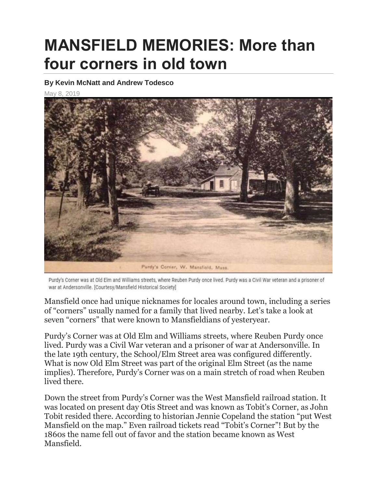## **MANSFIELD MEMORIES: More than four corners in old town**

## **By Kevin McNatt and Andrew Todesco**

May 8, 2019



Purdy's Corner was at Old Elm and Williams streets, where Reuben Purdy once lived. Purdy was a Civil War veteran and a prisoner of war at Andersonville. [Courtesy/Mansfield Historical Society]

Mansfield once had unique nicknames for locales around town, including a series of "corners" usually named for a family that lived nearby. Let's take a look at seven "corners" that were known to Mansfieldians of yesteryear.

Purdy's Corner was at Old Elm and Williams streets, where Reuben Purdy once lived. Purdy was a Civil War veteran and a prisoner of war at Andersonville. In the late 19th century, the School/Elm Street area was configured differently. What is now Old Elm Street was part of the original Elm Street (as the name implies). Therefore, Purdy's Corner was on a main stretch of road when Reuben lived there.

Down the street from Purdy's Corner was the West Mansfield railroad station. It was located on present day Otis Street and was known as Tobit's Corner, as John Tobit resided there. According to historian Jennie Copeland the station "put West Mansfield on the map." Even railroad tickets read "Tobit's Corner"! But by the 1860s the name fell out of favor and the station became known as West Mansfield.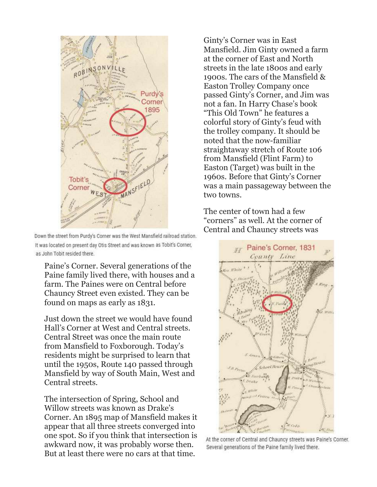

Down the street from Purdy's Corner was the West Mansfield railroad station. It was located on present day Otis Street and was known as Tobit's Corner, as John Tobit resided there.

Paine's Corner. Several generations of the Paine family lived there, with houses and a farm. The Paines were on Central before Chauncy Street even existed. They can be found on maps as early as 1831.

Just down the street we would have found Hall's Corner at West and Central streets. Central Street was once the main route from Mansfield to Foxborough. Today's residents might be surprised to learn that until the 1950s, Route 140 passed through Mansfield by way of South Main, West and Central streets.

The intersection of Spring, School and Willow streets was known as Drake's Corner. An 1895 map of Mansfield makes it appear that all three streets converged into one spot. So if you think that intersection is awkward now, it was probably worse then. But at least there were no cars at that time.

Ginty's Corner was in East Mansfield. Jim Ginty owned a farm at the corner of East and North streets in the late 1800s and early 1900s. The cars of the Mansfield & Easton Trolley Company once passed Ginty's Corner, and Jim was not a fan. In Harry Chase's book "This Old Town" he features a colorful story of Ginty's feud with the trolley company. It should be noted that the now-familiar straightaway stretch of Route 106 from Mansfield (Flint Farm) to Easton (Target) was built in the 1960s. Before that Ginty's Corner was a main passageway between the two towns.

The center of town had a few "corners" as well. At the corner of Central and Chauncy streets was



At the corner of Central and Chauncy streets was Paine's Corner. Several generations of the Paine family lived there.